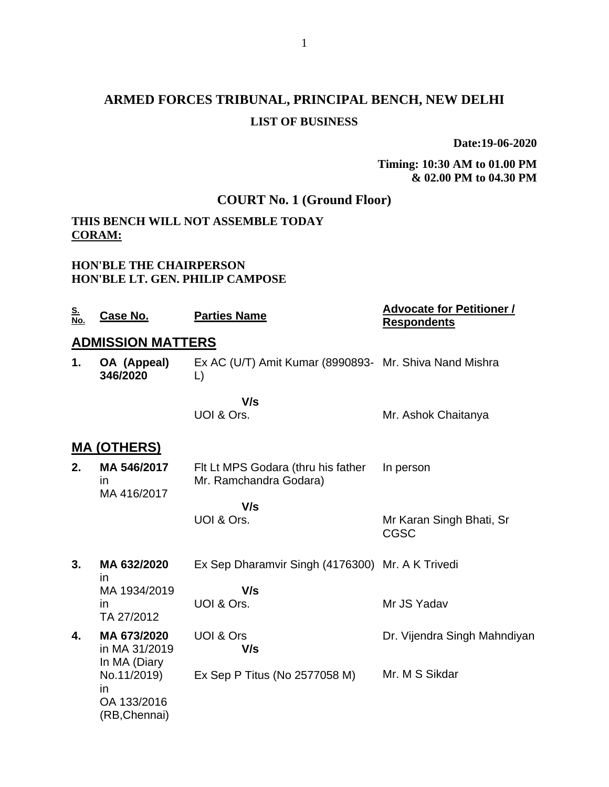## **ARMED FORCES TRIBUNAL, PRINCIPAL BENCH, NEW DELHI LIST OF BUSINESS**

**Date:19-06-2020**

**Timing: 10:30 AM to 01.00 PM & 02.00 PM to 04.30 PM**

## **COURT No. 1 (Ground Floor)**

## **THIS BENCH WILL NOT ASSEMBLE TODAY CORAM:**

#### **HON'BLE THE CHAIRPERSON HON'BLE LT. GEN. PHILIP CAMPOSE**

| <u>S.</u><br>No. | Case No.                                          | <b>Parties Name</b>                                          | <b>Advocate for Petitioner /</b><br><b>Respondents</b> |
|------------------|---------------------------------------------------|--------------------------------------------------------------|--------------------------------------------------------|
|                  | <b>ADMISSION MATTERS</b>                          |                                                              |                                                        |
| 1.               | OA (Appeal)<br>346/2020                           | Ex AC (U/T) Amit Kumar (8990893- Mr. Shiva Nand Mishra<br>L) |                                                        |
|                  |                                                   | V/s                                                          |                                                        |
|                  |                                                   | UOI & Ors.                                                   | Mr. Ashok Chaitanya                                    |
|                  | <u>MA (OTHERS)</u>                                |                                                              |                                                        |
| 2.               | MA 546/2017<br>in<br>MA 416/2017                  | Fit Lt MPS Godara (thru his father<br>Mr. Ramchandra Godara) | In person                                              |
|                  |                                                   | V/s                                                          |                                                        |
|                  |                                                   | UOI & Ors.                                                   | Mr Karan Singh Bhati, Sr<br><b>CGSC</b>                |
| 3.               | MA 632/2020<br>in                                 | Ex Sep Dharamvir Singh (4176300) Mr. A K Trivedi             |                                                        |
|                  | MA 1934/2019                                      | V/s                                                          |                                                        |
|                  | in<br>TA 27/2012                                  | UOI & Ors.                                                   | Mr JS Yadav                                            |
| 4.               | MA 673/2020<br>in MA 31/2019<br>In MA (Diary      | UOI & Ors<br>V/s                                             | Dr. Vijendra Singh Mahndiyan                           |
|                  | No.11/2019)<br>in<br>OA 133/2016<br>(RB, Chennai) | Ex Sep P Titus (No 2577058 M)                                | Mr. M S Sikdar                                         |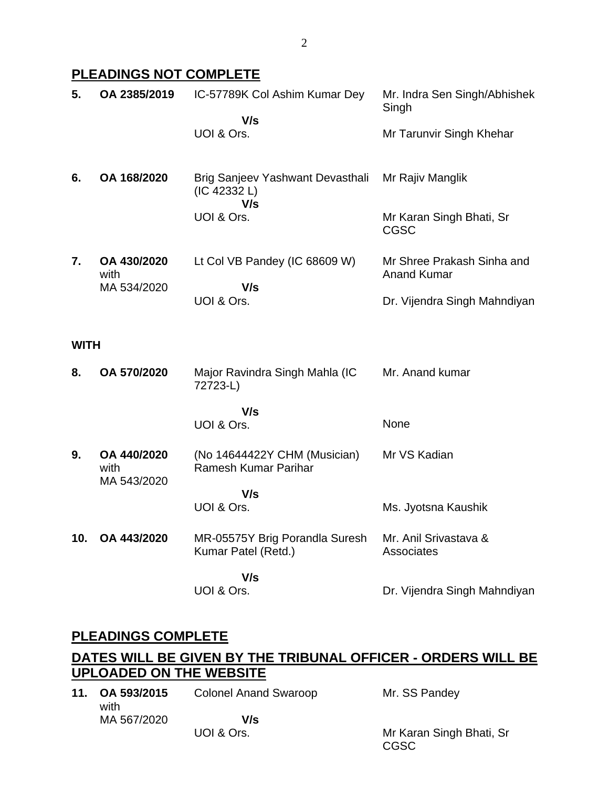## **PLEADINGS NOT COMPLETE**

| 5.          | OA 2385/2019                       | IC-57789K Col Ashim Kumar Dey                               | Mr. Indra Sen Singh/Abhishek<br>Singh            |
|-------------|------------------------------------|-------------------------------------------------------------|--------------------------------------------------|
|             |                                    | V/s<br>UOI & Ors.                                           | Mr Tarunvir Singh Khehar                         |
| 6.          | OA 168/2020                        | Brig Sanjeev Yashwant Devasthali<br>(IC 42332 L)<br>V/s     | Mr Rajiv Manglik                                 |
|             |                                    | UOI & Ors.                                                  | Mr Karan Singh Bhati, Sr<br><b>CGSC</b>          |
| 7.          | OA 430/2020<br>with<br>MA 534/2020 | Lt Col VB Pandey (IC 68609 W)<br>V/s                        | Mr Shree Prakash Sinha and<br><b>Anand Kumar</b> |
|             |                                    | UOI & Ors.                                                  | Dr. Vijendra Singh Mahndiyan                     |
| <b>WITH</b> |                                    |                                                             |                                                  |
| 8.          | OA 570/2020                        | Major Ravindra Singh Mahla (IC<br>72723-L)                  | Mr. Anand kumar                                  |
|             |                                    | V/s<br>UOI & Ors.                                           | None                                             |
| 9.          | OA 440/2020<br>with<br>MA 543/2020 | (No 14644422Y CHM (Musician)<br><b>Ramesh Kumar Parihar</b> | Mr VS Kadian                                     |
|             |                                    | V/s<br>UOI & Ors.                                           | Ms. Jyotsna Kaushik                              |
| 10.         | OA 443/2020                        | MR-05575Y Brig Porandla Suresh<br>Kumar Patel (Retd.)       | Mr. Anil Srivastava &<br>Associates              |
|             |                                    | V/s<br>UOI & Ors.                                           | Dr. Vijendra Singh Mahndiyan                     |

## **PLEADINGS COMPLETE**

## **DATES WILL BE GIVEN BY THE TRIBUNAL OFFICER - ORDERS WILL BE UPLOADED ON THE WEBSITE**

 $Sr$ 

| 11. OA 593/2015<br>with | <b>Colonel Anand Swaroop</b> | Mr. SS Pandey         |
|-------------------------|------------------------------|-----------------------|
| MA 567/2020             | V/s                          |                       |
|                         | UOI & Ors.                   | Mr Karan Singh Bhati, |
|                         |                              | CGSC                  |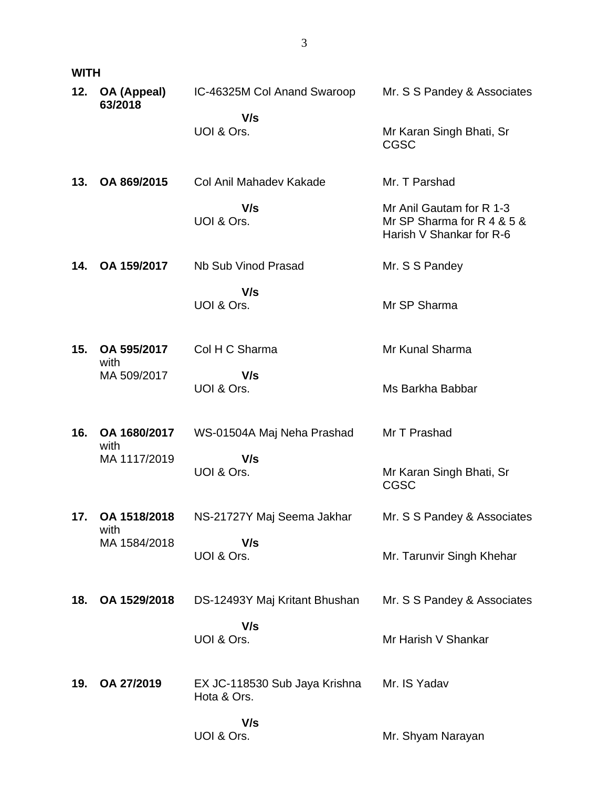|--|--|

| 12. | OA (Appeal)<br>63/2018 | IC-46325M Col Anand Swaroop                  | Mr. S S Pandey & Associates                                                        |
|-----|------------------------|----------------------------------------------|------------------------------------------------------------------------------------|
|     |                        | V/s<br>UOI & Ors.                            | Mr Karan Singh Bhati, Sr<br><b>CGSC</b>                                            |
| 13. | OA 869/2015            | Col Anil Mahadev Kakade                      | Mr. T Parshad                                                                      |
|     |                        | V/s<br>UOI & Ors.                            | Mr Anil Gautam for R 1-3<br>Mr SP Sharma for R 4 & 5 &<br>Harish V Shankar for R-6 |
| 14. | OA 159/2017            | Nb Sub Vinod Prasad                          | Mr. S S Pandey                                                                     |
|     |                        | V/s<br>UOI & Ors.                            | Mr SP Sharma                                                                       |
| 15. | OA 595/2017<br>with    | Col H C Sharma                               | Mr Kunal Sharma                                                                    |
|     | MA 509/2017            | V/s<br>UOI & Ors.                            | Ms Barkha Babbar                                                                   |
| 16. | OA 1680/2017<br>with   | WS-01504A Maj Neha Prashad                   | Mr T Prashad                                                                       |
|     | MA 1117/2019           | V/s<br>UOI & Ors.                            | Mr Karan Singh Bhati, Sr<br><b>CGSC</b>                                            |
| 17. | OA 1518/2018<br>with   | NS-21727Y Maj Seema Jakhar                   | Mr. S S Pandey & Associates                                                        |
|     | MA 1584/2018           | V/s<br>UOI & Ors.                            | Mr. Tarunvir Singh Khehar                                                          |
| 18. | OA 1529/2018           | DS-12493Y Maj Kritant Bhushan                | Mr. S S Pandey & Associates                                                        |
|     |                        | V/s<br>UOI & Ors.                            | Mr Harish V Shankar                                                                |
| 19. | OA 27/2019             | EX JC-118530 Sub Jaya Krishna<br>Hota & Ors. | Mr. IS Yadav                                                                       |
|     |                        | V/s<br>UOI & Ors.                            | Mr. Shyam Narayan                                                                  |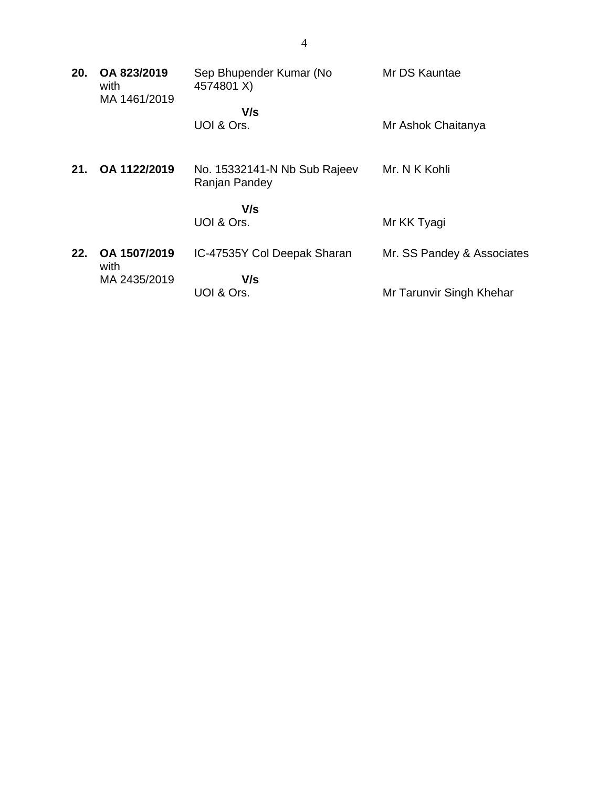| 20. | OA 823/2019<br>with<br>MA 1461/2019 | Sep Bhupender Kumar (No<br>4574801 X)         | Mr DS Kauntae              |
|-----|-------------------------------------|-----------------------------------------------|----------------------------|
|     |                                     | V/s                                           |                            |
|     |                                     | UOI & Ors.                                    | Mr Ashok Chaitanya         |
|     |                                     |                                               |                            |
| 21. | OA 1122/2019                        | No. 15332141-N Nb Sub Rajeev<br>Ranjan Pandey | Mr. N K Kohli              |
|     |                                     | V/s                                           |                            |
|     |                                     | UOI & Ors.                                    | Mr KK Tyagi                |
| 22. | OA 1507/2019<br>with                | IC-47535Y Col Deepak Sharan                   | Mr. SS Pandey & Associates |
|     | MA 2435/2019                        | V/s                                           |                            |
|     |                                     | UOI & Ors.                                    | Mr Tarunvir Singh Khehar   |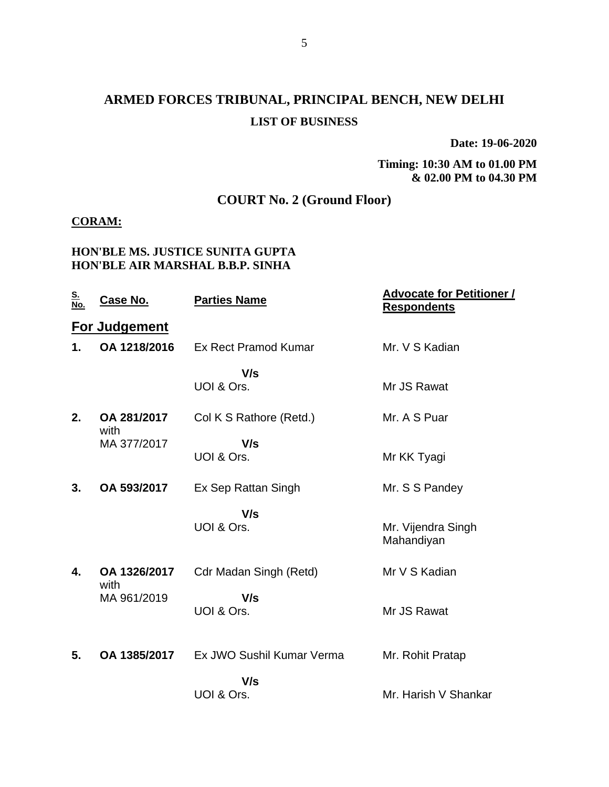## **ARMED FORCES TRIBUNAL, PRINCIPAL BENCH, NEW DELHI LIST OF BUSINESS**

**Date: 19-06-2020**

**Timing: 10:30 AM to 01.00 PM & 02.00 PM to 04.30 PM**

## **COURT No. 2 (Ground Floor)**

#### **CORAM:**

#### **HON'BLE MS. JUSTICE SUNITA GUPTA HON'BLE AIR MARSHAL B.B.P. SINHA**

| <u>S.</u><br>No. | Case No.             | <b>Parties Name</b>           | <u><b>Advocate for Petitioner /</b></u><br><b>Respondents</b> |
|------------------|----------------------|-------------------------------|---------------------------------------------------------------|
|                  | <b>For Judgement</b> |                               |                                                               |
| 1.               | OA 1218/2016         | Ex Rect Pramod Kumar          | Mr. V S Kadian                                                |
|                  |                      | V/s<br>UOI & Ors.             | Mr JS Rawat                                                   |
| 2.               | OA 281/2017<br>with  | Col K S Rathore (Retd.)       | Mr. A S Puar                                                  |
|                  | MA 377/2017          | V/s<br>UOI & Ors.             | Mr KK Tyagi                                                   |
| 3.               | OA 593/2017          | Ex Sep Rattan Singh           | Mr. S S Pandey                                                |
|                  |                      | V/s<br>UOI & Ors.             | Mr. Vijendra Singh<br>Mahandiyan                              |
| 4.               | OA 1326/2017<br>with | <b>Cdr Madan Singh (Retd)</b> | Mr V S Kadian                                                 |
|                  | MA 961/2019          | V/s<br>UOI & Ors.             | Mr JS Rawat                                                   |
| 5.               | OA 1385/2017         | Ex JWO Sushil Kumar Verma     | Mr. Rohit Pratap                                              |
|                  |                      | V/s<br>UOI & Ors.             | Mr. Harish V Shankar                                          |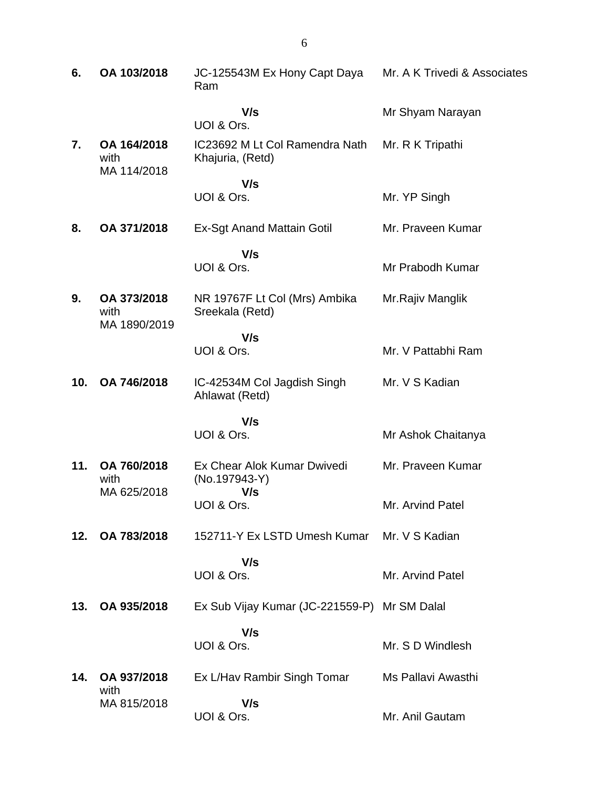| 6.  | OA 103/2018                         | JC-125543M Ex Hony Capt Daya<br>Ram                 | Mr. A K Trivedi & Associates |
|-----|-------------------------------------|-----------------------------------------------------|------------------------------|
|     |                                     | V/s<br>UOI & Ors.                                   | Mr Shyam Narayan             |
| 7.  | OA 164/2018<br>with<br>MA 114/2018  | IC23692 M Lt Col Ramendra Nath<br>Khajuria, (Retd)  | Mr. R K Tripathi             |
|     |                                     | V/s<br>UOI & Ors.                                   | Mr. YP Singh                 |
| 8.  | OA 371/2018                         | <b>Ex-Sgt Anand Mattain Gotil</b>                   | Mr. Praveen Kumar            |
|     |                                     | V/s<br>UOI & Ors.                                   | Mr Prabodh Kumar             |
| 9.  | OA 373/2018<br>with<br>MA 1890/2019 | NR 19767F Lt Col (Mrs) Ambika<br>Sreekala (Retd)    | Mr.Rajiv Manglik             |
|     |                                     | V/s<br>UOI & Ors.                                   | Mr. V Pattabhi Ram           |
| 10. | OA 746/2018                         | IC-42534M Col Jagdish Singh<br>Ahlawat (Retd)       | Mr. V S Kadian               |
|     |                                     | V/s<br>UOI & Ors.                                   | Mr Ashok Chaitanya           |
| 11. | OA 760/2018<br>with<br>MA 625/2018  | Ex Chear Alok Kumar Dwivedi<br>(No.197943-Y)<br>V/s | Mr. Praveen Kumar            |
|     |                                     | UOI & Ors.                                          | Mr. Arvind Patel             |
| 12. | OA 783/2018                         | 152711-Y Ex LSTD Umesh Kumar Mr. V S Kadian         |                              |
|     |                                     | V/s<br>UOI & Ors.                                   | Mr. Arvind Patel             |
| 13. | OA 935/2018                         | Ex Sub Vijay Kumar (JC-221559-P) Mr SM Dalal        |                              |
|     |                                     | V/s<br>UOI & Ors.                                   | Mr. S D Windlesh             |
| 14. | OA 937/2018<br>with                 | Ex L/Hav Rambir Singh Tomar                         | Ms Pallavi Awasthi           |
|     | MA 815/2018                         | V/s<br>UOI & Ors.                                   | Mr. Anil Gautam              |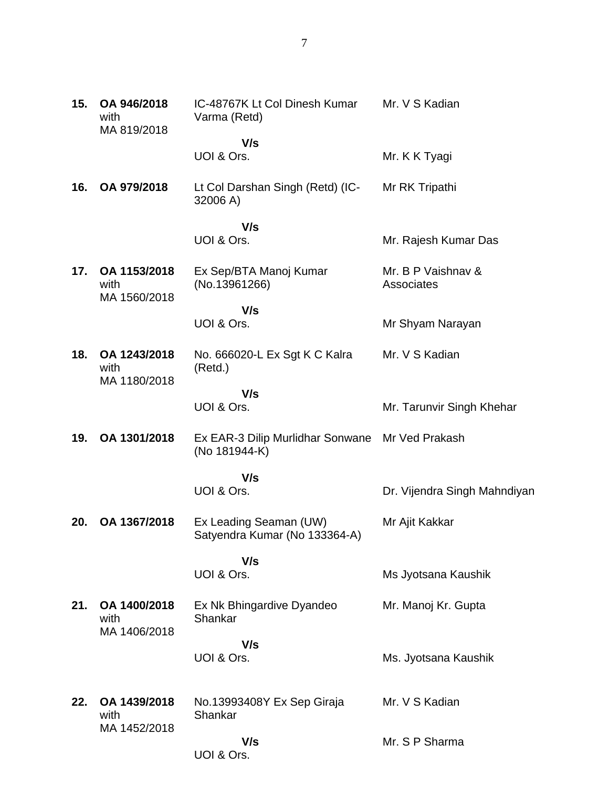| 15. | OA 946/2018<br>with<br>MA 819/2018   | IC-48767K Lt Col Dinesh Kumar<br>Varma (Retd)                    | Mr. V S Kadian                   |
|-----|--------------------------------------|------------------------------------------------------------------|----------------------------------|
|     |                                      | V/s<br>UOI & Ors.                                                | Mr. K K Tyagi                    |
| 16. | OA 979/2018                          | Lt Col Darshan Singh (Retd) (IC-<br>32006 A)                     | Mr RK Tripathi                   |
|     |                                      | V/s<br>UOI & Ors.                                                | Mr. Rajesh Kumar Das             |
| 17. | OA 1153/2018<br>with                 | Ex Sep/BTA Manoj Kumar<br>(No.13961266)                          | Mr. B P Vaishnav &<br>Associates |
|     | MA 1560/2018                         | V/s<br>UOI & Ors.                                                | Mr Shyam Narayan                 |
| 18. | OA 1243/2018<br>with<br>MA 1180/2018 | No. 666020-L Ex Sgt K C Kalra<br>(Retd.)                         | Mr. V S Kadian                   |
|     |                                      | V/s<br>UOI & Ors.                                                | Mr. Tarunvir Singh Khehar        |
| 19. | OA 1301/2018                         | Ex EAR-3 Dilip Murlidhar Sonwane Mr Ved Prakash<br>(No 181944-K) |                                  |
|     |                                      | V/s<br>UOI & Ors.                                                | Dr. Vijendra Singh Mahndiyan     |
| 20. | OA 1367/2018                         | Ex Leading Seaman (UW)<br>Satyendra Kumar (No 133364-A)          | Mr Ajit Kakkar                   |
|     |                                      | V/s<br>UOI & Ors.                                                | Ms Jyotsana Kaushik              |
| 21. | OA 1400/2018<br>with<br>MA 1406/2018 | Ex Nk Bhingardive Dyandeo<br>Shankar                             | Mr. Manoj Kr. Gupta              |
|     |                                      | V/s<br>UOI & Ors.                                                | Ms. Jyotsana Kaushik             |
| 22. | OA 1439/2018<br>with                 | No.13993408Y Ex Sep Giraja<br>Shankar                            | Mr. V S Kadian                   |
|     | MA 1452/2018                         | V/s<br>UOI & Ors.                                                | Mr. S P Sharma                   |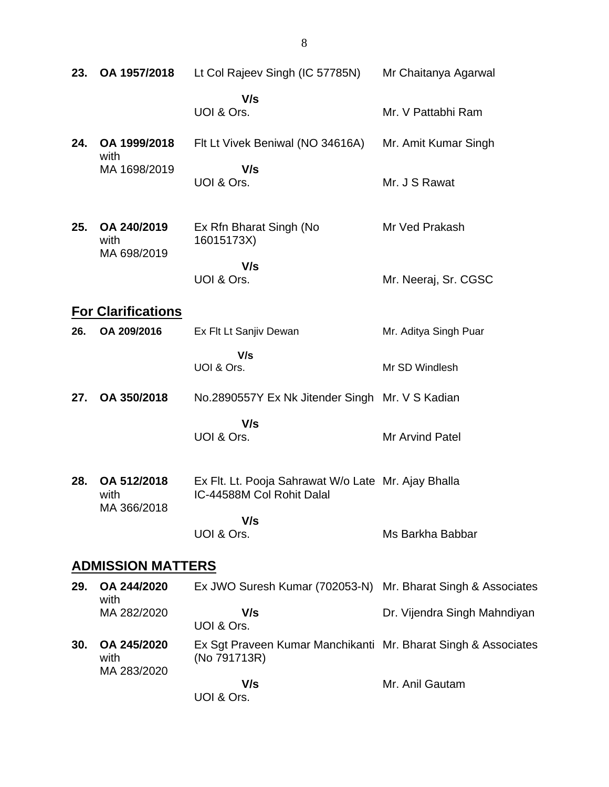| 23. | OA 1957/2018                       | Lt Col Rajeev Singh (IC 57785N)                                                  | Mr Chaitanya Agarwal          |
|-----|------------------------------------|----------------------------------------------------------------------------------|-------------------------------|
|     |                                    | V/s<br>UOI & Ors.                                                                | Mr. V Pattabhi Ram            |
| 24. | OA 1999/2018                       | Flt Lt Vivek Beniwal (NO 34616A)                                                 | Mr. Amit Kumar Singh          |
|     | with<br>MA 1698/2019               | V/s<br>UOI & Ors.                                                                | Mr. J S Rawat                 |
| 25. | OA 240/2019<br>with<br>MA 698/2019 | Ex Rfn Bharat Singh (No<br>16015173X)                                            | Mr Ved Prakash                |
|     |                                    | V/s<br>UOI & Ors.                                                                | Mr. Neeraj, Sr. CGSC          |
|     | <b>For Clarifications</b>          |                                                                                  |                               |
| 26. | OA 209/2016                        | Ex Flt Lt Sanjiv Dewan                                                           | Mr. Aditya Singh Puar         |
|     |                                    | V/s<br>UOI & Ors.                                                                | Mr SD Windlesh                |
| 27. | OA 350/2018                        | No.2890557Y Ex Nk Jitender Singh Mr. V S Kadian                                  |                               |
|     |                                    | V/s<br>UOI & Ors.                                                                | Mr Arvind Patel               |
| 28. | OA 512/2018<br>with<br>MA 366/2018 | Ex Flt. Lt. Pooja Sahrawat W/o Late Mr. Ajay Bhalla<br>IC-44588M Col Rohit Dalal |                               |
|     |                                    | V/s<br>UOI & Ors.                                                                | Ms Barkha Babbar              |
|     | <b>ADMISSION MATTERS</b>           |                                                                                  |                               |
| 29. | OA 244/2020<br>with                | Ex JWO Suresh Kumar (702053-N)                                                   | Mr. Bharat Singh & Associates |
|     | MA 282/2020                        | V/s<br>UOI & Ors.                                                                | Dr. Vijendra Singh Mahndiyan  |
| 30. | OA 245/2020<br>with<br>MA 283/2020 | Ex Sgt Praveen Kumar Manchikanti Mr. Bharat Singh & Associates<br>(No 791713R)   |                               |
|     |                                    | V/s<br>UOI & Ors.                                                                | Mr. Anil Gautam               |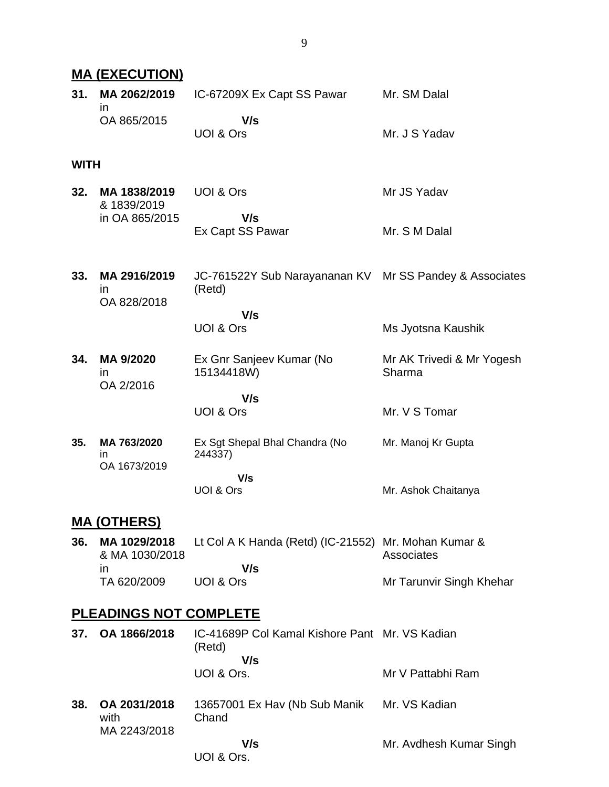## **MA (EXECUTION)**

| 31.         | MA 2062/2019<br>$\mathsf{I}$             | IC-67209X Ex Capt SS Pawar                                        | Mr. SM Dalal                        |
|-------------|------------------------------------------|-------------------------------------------------------------------|-------------------------------------|
|             | OA 865/2015                              | V/s<br>UOI & Ors                                                  | Mr. J S Yadav                       |
| <b>WITH</b> |                                          |                                                                   |                                     |
| 32.         | MA 1838/2019<br>& 1839/2019              | UOI & Ors                                                         | Mr JS Yadav                         |
|             | in OA 865/2015                           | V/s<br>Ex Capt SS Pawar                                           | Mr. S M Dalal                       |
| 33.         | MA 2916/2019<br><i>in</i><br>OA 828/2018 | JC-761522Y Sub Narayananan KV Mr SS Pandey & Associates<br>(Retd) |                                     |
|             |                                          | V/s<br>UOI & Ors                                                  | Ms Jyotsna Kaushik                  |
| 34.         | MA 9/2020<br><i>in</i><br>OA 2/2016      | Ex Gnr Sanjeev Kumar (No<br>15134418W)                            | Mr AK Trivedi & Mr Yogesh<br>Sharma |
|             |                                          | V/s<br>UOI & Ors                                                  | Mr. V S Tomar                       |
| 35.         | MA 763/2020<br>ın<br>OA 1673/2019        | Ex Sgt Shepal Bhal Chandra (No<br>244337)                         | Mr. Manoj Kr Gupta                  |
|             |                                          | V/s<br>UOI & Ors                                                  | Mr. Ashok Chaitanya                 |
|             | <b>MA (OTHERS)</b>                       |                                                                   |                                     |
| 36.         | MA 1029/2018<br>& MA 1030/2018           | Lt Col A K Handa (Retd) (IC-21552) Mr. Mohan Kumar &              | Associates                          |
|             | in<br>TA 620/2009                        | V/s<br>UOI & Ors                                                  | Mr Tarunvir Singh Khehar            |
|             | <b>PLEADINGS NOT COMPLETE</b>            |                                                                   |                                     |
| 37.         | OA 1866/2018                             | IC-41689P Col Kamal Kishore Pant Mr. VS Kadian<br>(Retd)          |                                     |
|             |                                          | V/s<br>UOI & Ors.                                                 | Mr V Pattabhi Ram                   |
| 38.         | OA 2031/2018<br>with<br>MA 2243/2018     | 13657001 Ex Hav (Nb Sub Manik<br>Chand                            | Mr. VS Kadian                       |

Mr. Avdhesh Kumar Singh

 **V/s** UOI & Ors.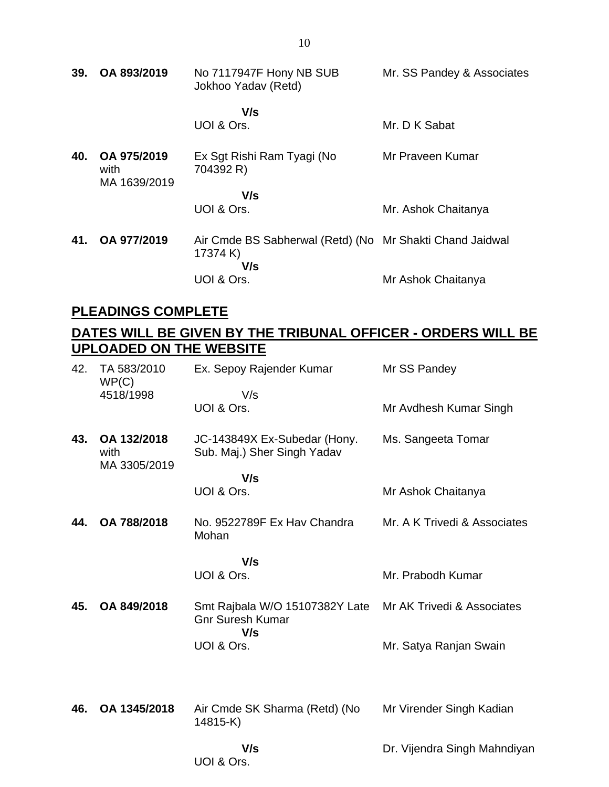**39. OA 893/2019** No 7117947F Hony NB SUB Jokhoo Yadav (Retd)  **V/s** UOI & Ors. Mr. SS Pandey & Associates Mr. D K Sabat **40. OA 975/2019** with Ex Sgt Rishi Ram Tyagi (No 704392 R) Mr Praveen Kumar

 **V/s** UOI & Ors. Mr. Ashok Chaitanya **41. OA 977/2019** Air Cmde BS Sabherwal (Retd) (No Mr Shakti Chand Jaidwal 17374 K)  **V/s** UOI & Ors. Mr Ashok Chaitanya

#### **PLEADINGS COMPLETE**

MA 1639/2019

## **DATES WILL BE GIVEN BY THE TRIBUNAL OFFICER - ORDERS WILL BE UPLOADED ON THE WEBSITE**

| 42. | TA 583/2010<br>WP(C)<br>4518/1998   | Ex. Sepoy Rajender Kumar<br>V/s                             | Mr SS Pandey                 |
|-----|-------------------------------------|-------------------------------------------------------------|------------------------------|
|     |                                     | UOI & Ors.                                                  | Mr Avdhesh Kumar Singh       |
| 43. | OA 132/2018<br>with<br>MA 3305/2019 | JC-143849X Ex-Subedar (Hony.<br>Sub. Maj.) Sher Singh Yadav | Ms. Sangeeta Tomar           |
|     |                                     | V/s<br>UOI & Ors.                                           | Mr Ashok Chaitanya           |
| 44. | OA 788/2018                         | No. 9522789F Ex Hav Chandra<br>Mohan                        | Mr. A K Trivedi & Associates |
|     |                                     | V/s<br>UOI & Ors.                                           | Mr. Prabodh Kumar            |
| 45. | OA 849/2018                         | Smt Rajbala W/O 15107382Y Late                              | Mr AK Trivedi & Associates   |
|     |                                     | <b>Gnr Suresh Kumar</b><br>V/s                              |                              |
|     |                                     | UOI & Ors.                                                  | Mr. Satya Ranjan Swain       |
|     |                                     |                                                             |                              |
| 46. | OA 1345/2018                        | Air Cmde SK Sharma (Retd) (No<br>14815-K)                   | Mr Virender Singh Kadian     |
|     |                                     | V/s<br>UOI & Ors.                                           | Dr. Vijendra Singh Mahndiyan |
|     |                                     |                                                             |                              |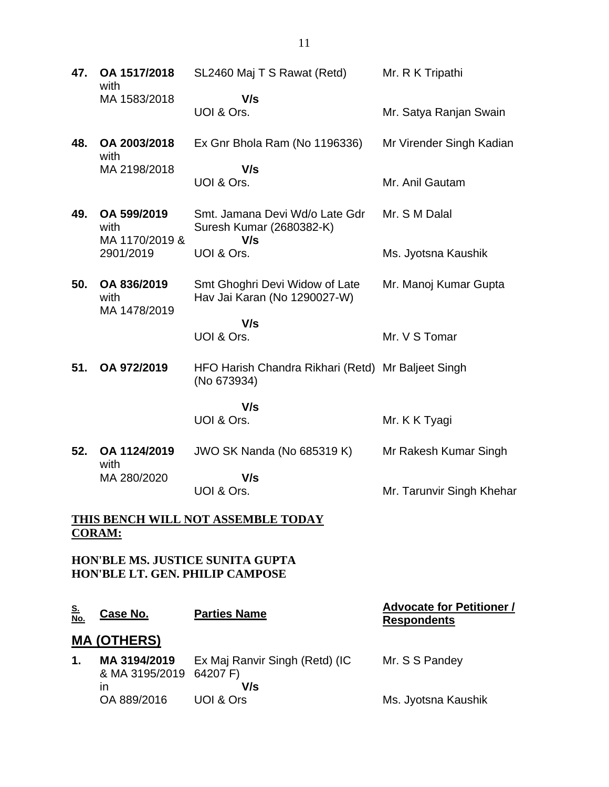**47. OA 1517/2018** with MA 1583/2018 SL2460 Maj T S Rawat (Retd)  **V/s** UOI & Ors. Mr. R K Tripathi Mr. Satya Ranjan Swain **48. OA 2003/2018** with MA 2198/2018 Ex Gnr Bhola Ram (No 1196336)  **V/s** UOI & Ors. Mr Virender Singh Kadian Mr. Anil Gautam **49. OA 599/2019** with MA 1170/2019 & 2901/2019 Smt. Jamana Devi Wd/o Late Gdr Suresh Kumar (2680382-K)  **V/s** UOI & Ors. Mr. S M Dalal Ms. Jyotsna Kaushik **50. OA 836/2019** with MA 1478/2019 Smt Ghoghri Devi Widow of Late Hav Jai Karan (No 1290027-W)  **V/s** UOI & Ors. Mr. Manoj Kumar Gupta Mr. V S Tomar **51. OA 972/2019** HFO Harish Chandra Rikhari (Retd) Mr Baljeet Singh (No 673934)  **V/s** UOI & Ors. Mr. K K Tyagi **52. OA 1124/2019** with MA 280/2020 JWO SK Nanda (No 685319 K)  **V/s** UOI & Ors. Mr Rakesh Kumar Singh Mr. Tarunvir Singh Khehar

## **THIS BENCH WILL NOT ASSEMBLE TODAY CORAM:**

**HON'BLE MS. JUSTICE SUNITA GUPTA HON'BLE LT. GEN. PHILIP CAMPOSE**

| <u>S.</u><br>No.   | Case No.                                      | <b>Parties Name</b>                   | <b>Advocate for Petitioner /</b><br><b>Respondents</b> |  |
|--------------------|-----------------------------------------------|---------------------------------------|--------------------------------------------------------|--|
| <b>MA (OTHERS)</b> |                                               |                                       |                                                        |  |
| 1.                 | MA 3194/2019<br>& MA 3195/2019 64207 F)<br>In | Ex Maj Ranvir Singh (Retd) (IC<br>V/s | Mr. S S Pandey                                         |  |
|                    | OA 889/2016                                   | UOI & Ors                             | Ms. Jyotsna Kaushik                                    |  |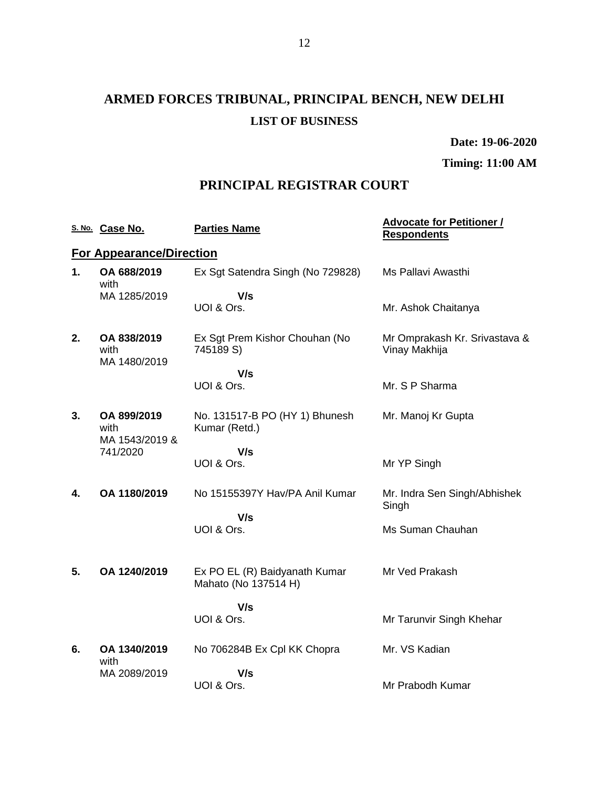# **ARMED FORCES TRIBUNAL, PRINCIPAL BENCH, NEW DELHI LIST OF BUSINESS**

**Date: 19-06-2020**

**Timing: 11:00 AM**

## **PRINCIPAL REGISTRAR COURT**

|    | S. No. Case No.                                   | <b>Parties Name</b>                                   | <b>Advocate for Petitioner /</b><br><b>Respondents</b> |
|----|---------------------------------------------------|-------------------------------------------------------|--------------------------------------------------------|
|    | <b>For Appearance/Direction</b>                   |                                                       |                                                        |
| 1. | OA 688/2019<br>with                               | Ex Sgt Satendra Singh (No 729828)                     | Ms Pallavi Awasthi                                     |
|    | MA 1285/2019                                      | V/s<br>UOI & Ors.                                     | Mr. Ashok Chaitanya                                    |
| 2. | OA 838/2019<br>with                               | Ex Sgt Prem Kishor Chouhan (No<br>745189 S)           | Mr Omprakash Kr. Srivastava &<br>Vinay Makhija         |
|    | MA 1480/2019                                      | V/s                                                   |                                                        |
|    |                                                   | UOI & Ors.                                            | Mr. S P Sharma                                         |
| 3. | OA 899/2019<br>with<br>MA 1543/2019 &<br>741/2020 | No. 131517-B PO (HY 1) Bhunesh<br>Kumar (Retd.)       | Mr. Manoj Kr Gupta                                     |
|    |                                                   | V/s                                                   |                                                        |
|    |                                                   | UOI & Ors.                                            | Mr YP Singh                                            |
| 4. | OA 1180/2019                                      | No 15155397Y Hav/PA Anil Kumar                        | Mr. Indra Sen Singh/Abhishek<br>Singh                  |
|    |                                                   | V/s<br>UOI & Ors.                                     | Ms Suman Chauhan                                       |
| 5. | OA 1240/2019                                      | Ex PO EL (R) Baidyanath Kumar<br>Mahato (No 137514 H) | Mr Ved Prakash                                         |
|    |                                                   | V/s                                                   |                                                        |
|    |                                                   | UOI & Ors.                                            | Mr Tarunvir Singh Khehar                               |
| 6. | OA 1340/2019<br>with                              | No 706284B Ex Cpl KK Chopra                           | Mr. VS Kadian                                          |
|    | MA 2089/2019                                      | V/s                                                   |                                                        |
|    |                                                   | UOI & Ors.                                            | Mr Prabodh Kumar                                       |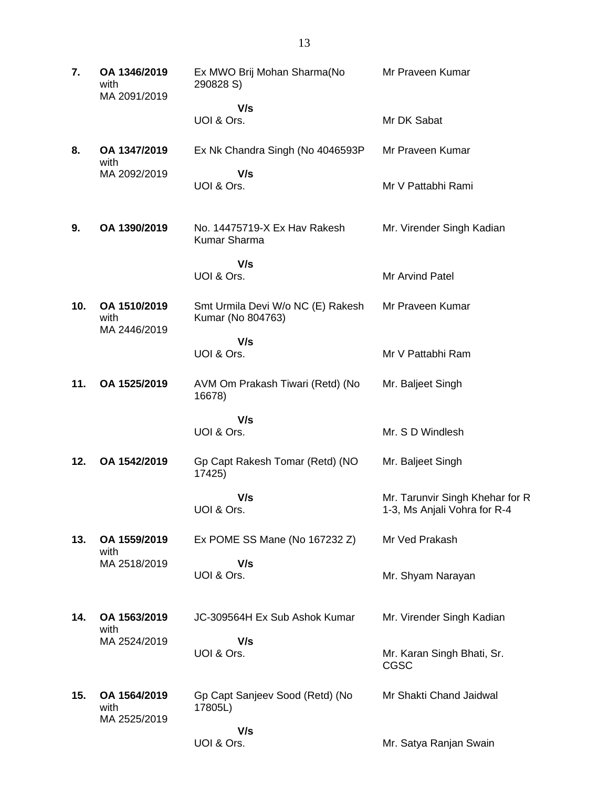| 7.  | OA 1346/2019<br>with<br>MA 2091/2019 | Ex MWO Brij Mohan Sharma(No<br>290828 S)               | Mr Praveen Kumar                                                |
|-----|--------------------------------------|--------------------------------------------------------|-----------------------------------------------------------------|
|     |                                      | V/s<br>UOI & Ors.                                      | Mr DK Sabat                                                     |
| 8.  | OA 1347/2019<br>with                 | Ex Nk Chandra Singh (No 4046593P)                      | Mr Praveen Kumar                                                |
|     | MA 2092/2019                         | V/s<br>UOI & Ors.                                      | Mr V Pattabhi Rami                                              |
| 9.  | OA 1390/2019                         | No. 14475719-X Ex Hav Rakesh<br>Kumar Sharma           | Mr. Virender Singh Kadian                                       |
|     |                                      | V/s<br>UOI & Ors.                                      | Mr Arvind Patel                                                 |
| 10. | OA 1510/2019<br>with<br>MA 2446/2019 | Smt Urmila Devi W/o NC (E) Rakesh<br>Kumar (No 804763) | Mr Praveen Kumar                                                |
|     |                                      | V/s<br>UOI & Ors.                                      | Mr V Pattabhi Ram                                               |
| 11. | OA 1525/2019                         | AVM Om Prakash Tiwari (Retd) (No<br>16678)             | Mr. Baljeet Singh                                               |
|     |                                      | V/s<br>UOI & Ors.                                      | Mr. S D Windlesh                                                |
| 12. | OA 1542/2019                         | Gp Capt Rakesh Tomar (Retd) (NO<br>17425)              | Mr. Baljeet Singh                                               |
|     |                                      | V/s<br>UOI & Ors.                                      | Mr. Tarunvir Singh Khehar for R<br>1-3, Ms Anjali Vohra for R-4 |
| 13. | OA 1559/2019<br>with                 | Ex POME SS Mane (No 167232 Z)                          | Mr Ved Prakash                                                  |
|     | MA 2518/2019                         | V/s<br>UOI & Ors.                                      | Mr. Shyam Narayan                                               |
| 14. | OA 1563/2019<br>with                 | JC-309564H Ex Sub Ashok Kumar                          | Mr. Virender Singh Kadian                                       |
|     | MA 2524/2019                         | V/s<br>UOI & Ors.                                      | Mr. Karan Singh Bhati, Sr.<br><b>CGSC</b>                       |
| 15. | OA 1564/2019<br>with<br>MA 2525/2019 | Gp Capt Sanjeev Sood (Retd) (No<br>17805L)             | Mr Shakti Chand Jaidwal                                         |
|     |                                      | V/s                                                    |                                                                 |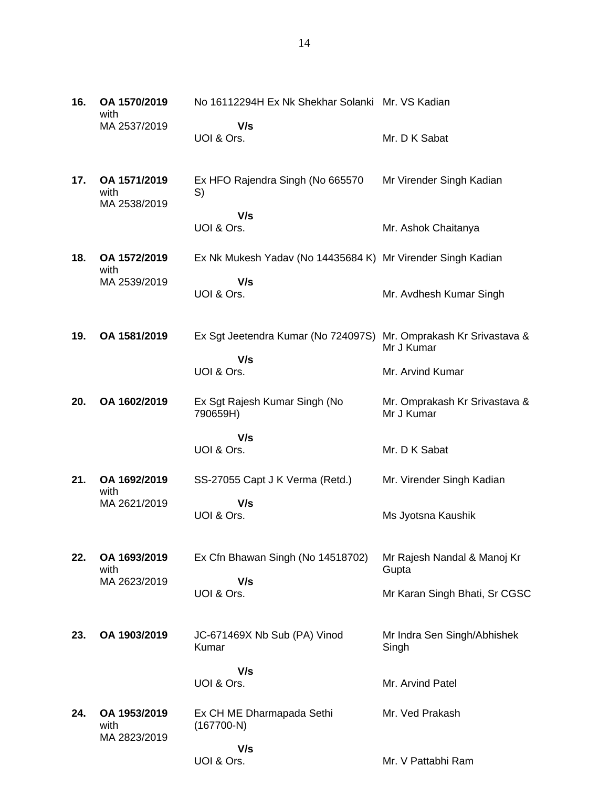| 16. | OA 1570/2019<br>with                 | No 16112294H Ex Nk Shekhar Solanki Mr. VS Kadian            |                                             |
|-----|--------------------------------------|-------------------------------------------------------------|---------------------------------------------|
|     | MA 2537/2019                         | V/s<br>UOI & Ors.                                           | Mr. D K Sabat                               |
| 17. | OA 1571/2019<br>with<br>MA 2538/2019 | Ex HFO Rajendra Singh (No 665570<br>S)                      | Mr Virender Singh Kadian                    |
|     |                                      | V/s<br>UOI & Ors.                                           | Mr. Ashok Chaitanya                         |
| 18. | OA 1572/2019<br>with                 | Ex Nk Mukesh Yadav (No 14435684 K) Mr Virender Singh Kadian |                                             |
|     | MA 2539/2019                         | V/s<br>UOI & Ors.                                           | Mr. Avdhesh Kumar Singh                     |
| 19. | OA 1581/2019                         | Ex Sgt Jeetendra Kumar (No 724097S)                         | Mr. Omprakash Kr Srivastava &<br>Mr J Kumar |
|     |                                      | V/s<br>UOI & Ors.                                           | Mr. Arvind Kumar                            |
| 20. | OA 1602/2019                         | Ex Sgt Rajesh Kumar Singh (No<br>790659H)                   | Mr. Omprakash Kr Srivastava &<br>Mr J Kumar |
|     |                                      | V/s<br>UOI & Ors.                                           | Mr. D K Sabat                               |
| 21. | OA 1692/2019<br>with                 | SS-27055 Capt J K Verma (Retd.)                             | Mr. Virender Singh Kadian                   |
|     | MA 2621/2019                         | V/s<br>UOI & Ors.                                           | Ms Jyotsna Kaushik                          |
| 22. | OA 1693/2019<br>with                 | Ex Cfn Bhawan Singh (No 14518702)                           | Mr Rajesh Nandal & Manoj Kr<br>Gupta        |
|     | MA 2623/2019                         | V/s<br>UOI & Ors.                                           | Mr Karan Singh Bhati, Sr CGSC               |
| 23. | OA 1903/2019                         | JC-671469X Nb Sub (PA) Vinod<br>Kumar                       | Mr Indra Sen Singh/Abhishek<br>Singh        |
|     |                                      | V/s<br>UOI & Ors.                                           | Mr. Arvind Patel                            |
| 24. | OA 1953/2019<br>with<br>MA 2823/2019 | Ex CH ME Dharmapada Sethi<br>$(167700-N)$                   | Mr. Ved Prakash                             |
|     |                                      | V/s                                                         |                                             |

Mr. V Pattabhi Ram

UOI & Ors.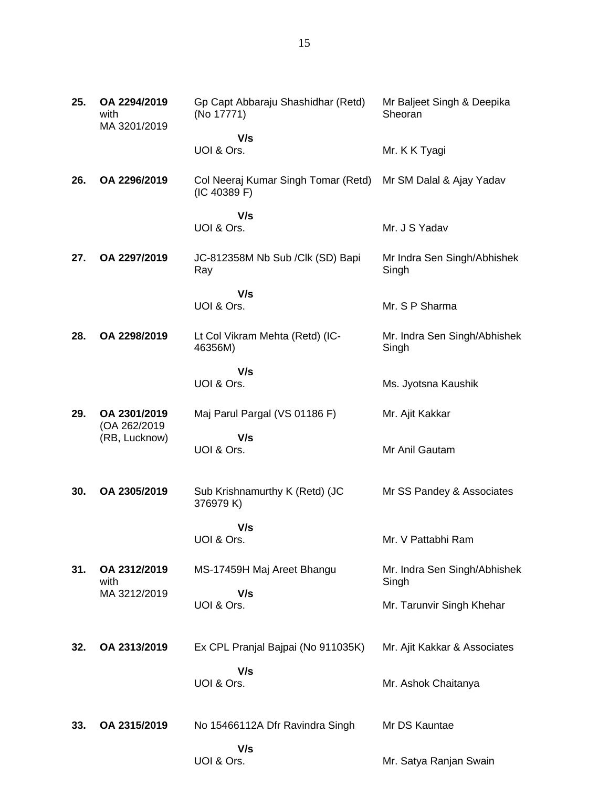| 25. | OA 2294/2019<br>with<br>MA 3201/2019 | Gp Capt Abbaraju Shashidhar (Retd)<br>(No 17771)    | Mr Baljeet Singh & Deepika<br>Sheoran |
|-----|--------------------------------------|-----------------------------------------------------|---------------------------------------|
|     |                                      | V/s<br>UOI & Ors.                                   | Mr. K K Tyagi                         |
| 26. | OA 2296/2019                         | Col Neeraj Kumar Singh Tomar (Retd)<br>(IC 40389 F) | Mr SM Dalal & Ajay Yadav              |
|     |                                      | V/s<br>UOI & Ors.                                   | Mr. J S Yadav                         |
| 27. | OA 2297/2019                         | JC-812358M Nb Sub / Clk (SD) Bapi<br>Ray            | Mr Indra Sen Singh/Abhishek<br>Singh  |
|     |                                      | V/s<br>UOI & Ors.                                   | Mr. S P Sharma                        |
| 28. | OA 2298/2019                         | Lt Col Vikram Mehta (Retd) (IC-<br>46356M)          | Mr. Indra Sen Singh/Abhishek<br>Singh |
|     |                                      | V/s<br>UOI & Ors.                                   | Ms. Jyotsna Kaushik                   |
| 29. | OA 2301/2019                         | Maj Parul Pargal (VS 01186 F)                       | Mr. Ajit Kakkar                       |
|     | (OA 262/2019<br>(RB, Lucknow)        | V/s<br>UOI & Ors.                                   | Mr Anil Gautam                        |
| 30. | OA 2305/2019                         | Sub Krishnamurthy K (Retd) (JC<br>376979 K)         | Mr SS Pandey & Associates             |
|     |                                      | V/s<br>UOI & Ors.                                   | Mr. V Pattabhi Ram                    |
| 31. | OA 2312/2019<br>with                 | MS-17459H Maj Areet Bhangu                          | Mr. Indra Sen Singh/Abhishek<br>Singh |
|     | MA 3212/2019                         | V/s<br>UOI & Ors.                                   | Mr. Tarunvir Singh Khehar             |
| 32. | OA 2313/2019                         | Ex CPL Pranjal Bajpai (No 911035K)                  | Mr. Ajit Kakkar & Associates          |
|     |                                      | V/s<br>UOI & Ors.                                   | Mr. Ashok Chaitanya                   |
| 33. | OA 2315/2019                         | No 15466112A Dfr Ravindra Singh                     | Mr DS Kauntae                         |
|     |                                      | V/s<br>UOI & Ors.                                   | Mr. Satya Ranjan Swain                |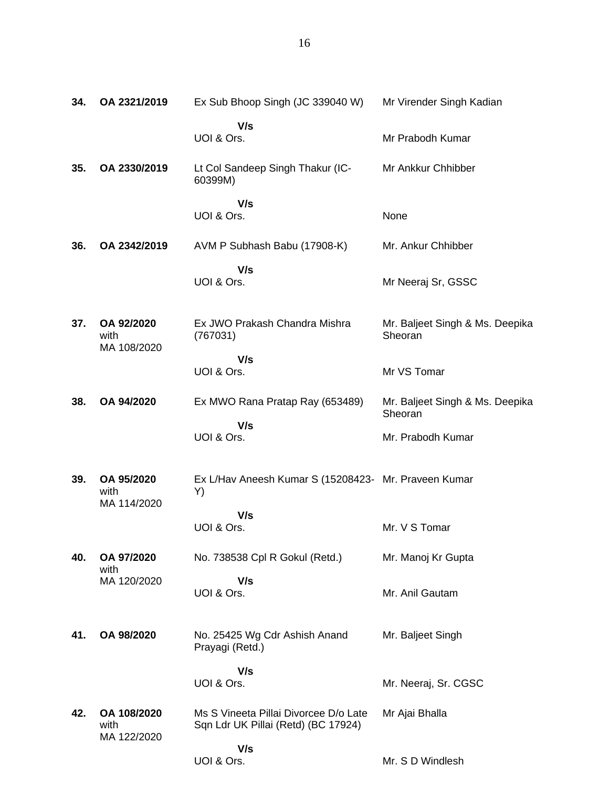| 34. | OA 2321/2019                       | Ex Sub Bhoop Singh (JC 339040 W)                                             | Mr Virender Singh Kadian                   |
|-----|------------------------------------|------------------------------------------------------------------------------|--------------------------------------------|
|     |                                    | V/s<br>UOI & Ors.                                                            | Mr Prabodh Kumar                           |
| 35. | OA 2330/2019                       | Lt Col Sandeep Singh Thakur (IC-<br>60399M)                                  | Mr Ankkur Chhibber                         |
|     |                                    | V/s<br>UOI & Ors.                                                            | None                                       |
| 36. | OA 2342/2019                       | AVM P Subhash Babu (17908-K)                                                 | Mr. Ankur Chhibber                         |
|     |                                    | V/s<br>UOI & Ors.                                                            | Mr Neeraj Sr, GSSC                         |
| 37. | OA 92/2020<br>with<br>MA 108/2020  | Ex JWO Prakash Chandra Mishra<br>(767031)                                    | Mr. Baljeet Singh & Ms. Deepika<br>Sheoran |
|     |                                    | V/s<br>UOI & Ors.                                                            | Mr VS Tomar                                |
| 38. | OA 94/2020                         | Ex MWO Rana Pratap Ray (653489)                                              | Mr. Baljeet Singh & Ms. Deepika<br>Sheoran |
|     |                                    | V/s<br>UOI & Ors.                                                            | Mr. Prabodh Kumar                          |
| 39. | OA 95/2020<br>with<br>MA 114/2020  | Ex L/Hav Aneesh Kumar S (15208423- Mr. Praveen Kumar<br>Y)                   |                                            |
|     |                                    | V/s<br>UOI & Ors.                                                            | Mr. V S Tomar                              |
| 40. | OA 97/2020                         | No. 738538 Cpl R Gokul (Retd.)                                               | Mr. Manoj Kr Gupta                         |
|     | with<br>MA 120/2020                | V/s<br>UOI & Ors.                                                            | Mr. Anil Gautam                            |
| 41. | OA 98/2020                         | No. 25425 Wg Cdr Ashish Anand<br>Prayagi (Retd.)                             | Mr. Baljeet Singh                          |
|     |                                    | V/s<br>UOI & Ors.                                                            | Mr. Neeraj, Sr. CGSC                       |
| 42. | OA 108/2020<br>with<br>MA 122/2020 | Ms S Vineeta Pillai Divorcee D/o Late<br>Sqn Ldr UK Pillai (Retd) (BC 17924) | Mr Ajai Bhalla                             |
|     |                                    | V/s<br>UOI & Ors.                                                            | Mr. S D Windlesh                           |